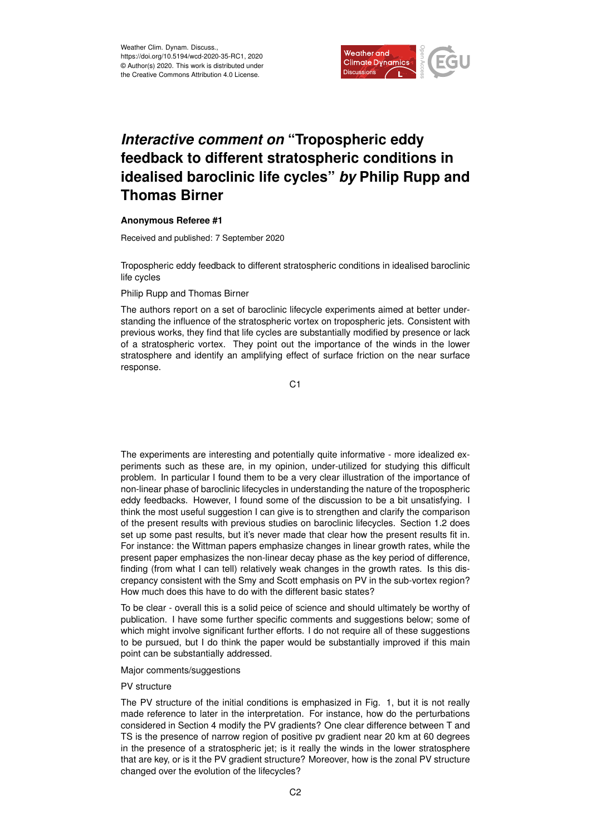

# *Interactive comment on* **"Tropospheric eddy feedback to different stratospheric conditions in idealised baroclinic life cycles"** *by* **Philip Rupp and Thomas Birner**

### **Anonymous Referee #1**

Received and published: 7 September 2020

Tropospheric eddy feedback to different stratospheric conditions in idealised baroclinic life cycles

### Philip Rupp and Thomas Birner

The authors report on a set of baroclinic lifecycle experiments aimed at better understanding the influence of the stratospheric vortex on tropospheric jets. Consistent with previous works, they find that life cycles are substantially modified by presence or lack of a stratospheric vortex. They point out the importance of the winds in the lower stratosphere and identify an amplifying effect of surface friction on the near surface response.

C<sub>1</sub>

The experiments are interesting and potentially quite informative - more idealized experiments such as these are, in my opinion, under-utilized for studying this difficult problem. In particular I found them to be a very clear illustration of the importance of non-linear phase of baroclinic lifecycles in understanding the nature of the tropospheric eddy feedbacks. However, I found some of the discussion to be a bit unsatisfying. I think the most useful suggestion I can give is to strengthen and clarify the comparison of the present results with previous studies on baroclinic lifecycles. Section 1.2 does set up some past results, but it's never made that clear how the present results fit in. For instance: the Wittman papers emphasize changes in linear growth rates, while the present paper emphasizes the non-linear decay phase as the key period of difference, finding (from what I can tell) relatively weak changes in the growth rates. Is this discrepancy consistent with the Smy and Scott emphasis on PV in the sub-vortex region? How much does this have to do with the different basic states?

To be clear - overall this is a solid peice of science and should ultimately be worthy of publication. I have some further specific comments and suggestions below; some of which might involve significant further efforts. I do not require all of these suggestions to be pursued, but I do think the paper would be substantially improved if this main point can be substantially addressed.

#### Major comments/suggestions

### PV structure

The PV structure of the initial conditions is emphasized in Fig. 1, but it is not really made reference to later in the interpretation. For instance, how do the perturbations considered in Section 4 modify the PV gradients? One clear difference between T and TS is the presence of narrow region of positive pv gradient near 20 km at 60 degrees in the presence of a stratospheric jet; is it really the winds in the lower stratosphere that are key, or is it the PV gradient structure? Moreover, how is the zonal PV structure changed over the evolution of the lifecycles?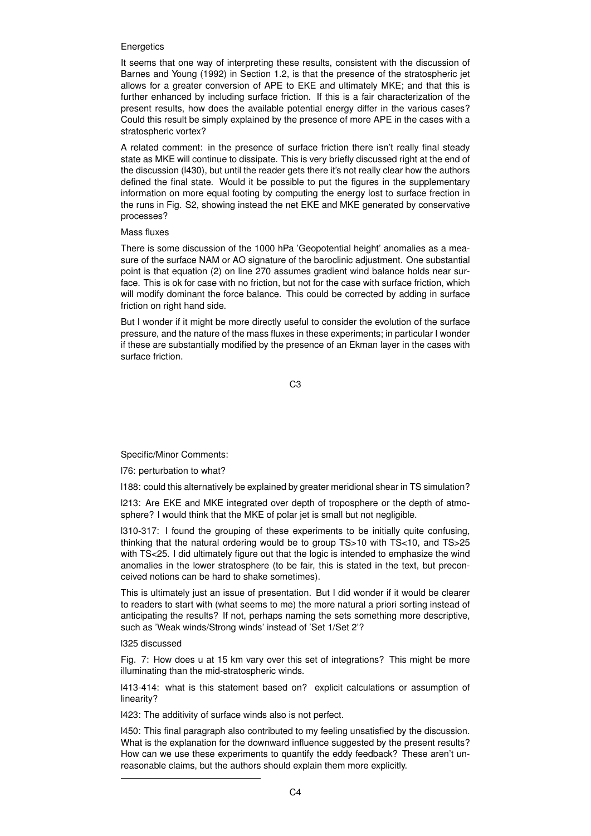## **Energetics**

It seems that one way of interpreting these results, consistent with the discussion of Barnes and Young (1992) in Section 1.2, is that the presence of the stratospheric jet allows for a greater conversion of APE to EKE and ultimately MKE; and that this is further enhanced by including surface friction. If this is a fair characterization of the present results, how does the available potential energy differ in the various cases? Could this result be simply explained by the presence of more APE in the cases with a stratospheric vortex?

A related comment: in the presence of surface friction there isn't really final steady state as MKE will continue to dissipate. This is very briefly discussed right at the end of the discussion (l430), but until the reader gets there it's not really clear how the authors defined the final state. Would it be possible to put the figures in the supplementary information on more equal footing by computing the energy lost to surface frection in the runs in Fig. S2, showing instead the net EKE and MKE generated by conservative processes?

### Mass fluxes

There is some discussion of the 1000 hPa 'Geopotential height' anomalies as a measure of the surface NAM or AO signature of the baroclinic adjustment. One substantial point is that equation (2) on line 270 assumes gradient wind balance holds near surface. This is ok for case with no friction, but not for the case with surface friction, which will modify dominant the force balance. This could be corrected by adding in surface friction on right hand side.

But I wonder if it might be more directly useful to consider the evolution of the surface pressure, and the nature of the mass fluxes in these experiments; in particular I wonder if these are substantially modified by the presence of an Ekman layer in the cases with surface friction.

C3

Specific/Minor Comments:

l76: perturbation to what?

l188: could this alternatively be explained by greater meridional shear in TS simulation?

l213: Are EKE and MKE integrated over depth of troposphere or the depth of atmosphere? I would think that the MKE of polar jet is small but not negligible.

l310-317: I found the grouping of these experiments to be initially quite confusing, thinking that the natural ordering would be to group TS>10 with TS<10, and TS>25 with TS<25. I did ultimately figure out that the logic is intended to emphasize the wind anomalies in the lower stratosphere (to be fair, this is stated in the text, but preconceived notions can be hard to shake sometimes).

This is ultimately just an issue of presentation. But I did wonder if it would be clearer to readers to start with (what seems to me) the more natural a priori sorting instead of anticipating the results? If not, perhaps naming the sets something more descriptive, such as 'Weak winds/Strong winds' instead of 'Set 1/Set 2'?

### l325 discussed

Fig. 7: How does u at 15 km vary over this set of integrations? This might be more illuminating than the mid-stratospheric winds.

l413-414: what is this statement based on? explicit calculations or assumption of linearity?

l423: The additivity of surface winds also is not perfect.

l450: This final paragraph also contributed to my feeling unsatisfied by the discussion. What is the explanation for the downward influence suggested by the present results? How can we use these experiments to quantify the eddy feedback? These aren't unreasonable claims, but the authors should explain them more explicitly.